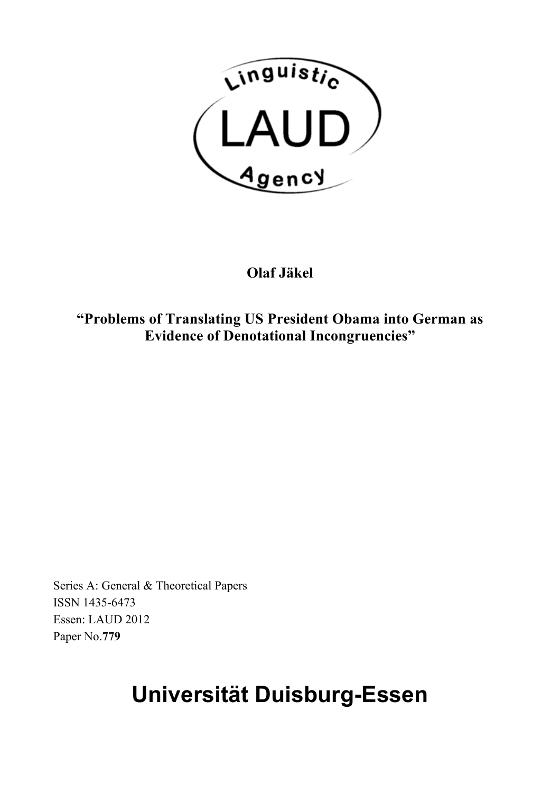

# **Olaf Jäkel**

# **"Problems of Translating US President Obama into German as Evidence of Denotational Incongruencies"**

Series A: General & Theoretical Papers ISSN 1435-6473 Essen: LAUD 2012 Paper No.**779**

# **Universität Duisburg-Essen**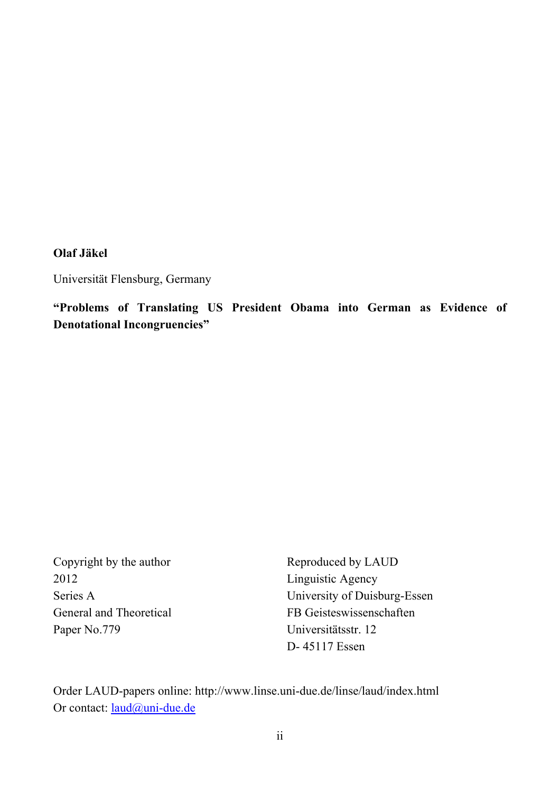**Olaf Jäkel**

Universität Flensburg, Germany

**"Problems of Translating US President Obama into German as Evidence of Denotational Incongruencies"**

Copyright by the author Reproduced by LAUD 2012 Linguistic Agency Paper No.779 Universitätsstr. 12

Series A University of Duisburg-Essen General and Theoretical FB Geisteswissenschaften D- 45117 Essen

Order LAUD-papers online: http://www.linse.uni-due.de/linse/laud/index.html Or contact: laud@uni-due.de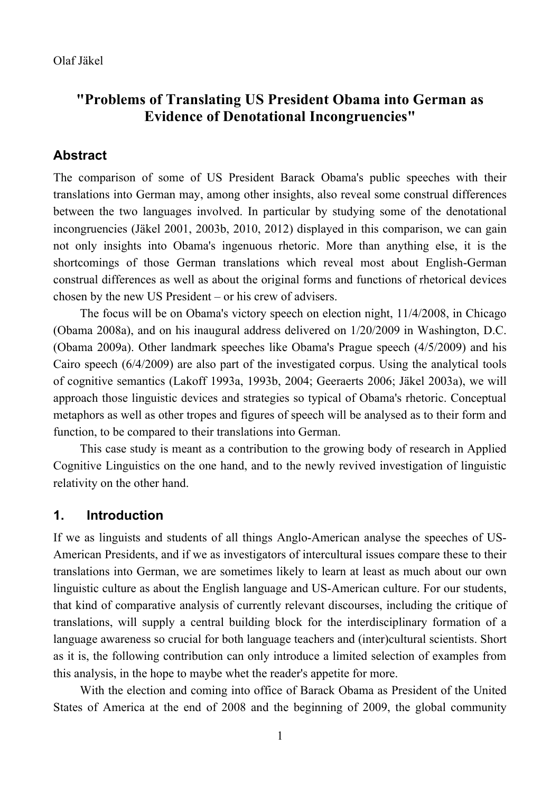# **"Problems of Translating US President Obama into German as Evidence of Denotational Incongruencies"**

#### **Abstract**

The comparison of some of US President Barack Obama's public speeches with their translations into German may, among other insights, also reveal some construal differences between the two languages involved. In particular by studying some of the denotational incongruencies (Jäkel 2001, 2003b, 2010, 2012) displayed in this comparison, we can gain not only insights into Obama's ingenuous rhetoric. More than anything else, it is the shortcomings of those German translations which reveal most about English-German construal differences as well as about the original forms and functions of rhetorical devices chosen by the new US President – or his crew of advisers.

The focus will be on Obama's victory speech on election night, 11/4/2008, in Chicago (Obama 2008a), and on his inaugural address delivered on 1/20/2009 in Washington, D.C. (Obama 2009a). Other landmark speeches like Obama's Prague speech (4/5/2009) and his Cairo speech (6/4/2009) are also part of the investigated corpus. Using the analytical tools of cognitive semantics (Lakoff 1993a, 1993b, 2004; Geeraerts 2006; Jäkel 2003a), we will approach those linguistic devices and strategies so typical of Obama's rhetoric. Conceptual metaphors as well as other tropes and figures of speech will be analysed as to their form and function, to be compared to their translations into German.

This case study is meant as a contribution to the growing body of research in Applied Cognitive Linguistics on the one hand, and to the newly revived investigation of linguistic relativity on the other hand.

#### **1. Introduction**

If we as linguists and students of all things Anglo-American analyse the speeches of US-American Presidents, and if we as investigators of intercultural issues compare these to their translations into German, we are sometimes likely to learn at least as much about our own linguistic culture as about the English language and US-American culture. For our students, that kind of comparative analysis of currently relevant discourses, including the critique of translations, will supply a central building block for the interdisciplinary formation of a language awareness so crucial for both language teachers and (inter)cultural scientists. Short as it is, the following contribution can only introduce a limited selection of examples from this analysis, in the hope to maybe whet the reader's appetite for more.

With the election and coming into office of Barack Obama as President of the United States of America at the end of 2008 and the beginning of 2009, the global community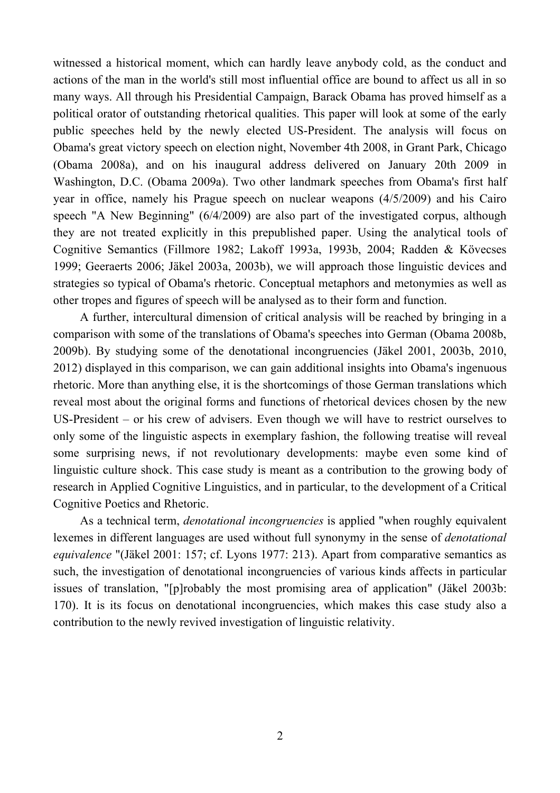witnessed a historical moment, which can hardly leave anybody cold, as the conduct and actions of the man in the world's still most influential office are bound to affect us all in so many ways. All through his Presidential Campaign, Barack Obama has proved himself as a political orator of outstanding rhetorical qualities. This paper will look at some of the early public speeches held by the newly elected US-President. The analysis will focus on Obama's great victory speech on election night, November 4th 2008, in Grant Park, Chicago (Obama 2008a), and on his inaugural address delivered on January 20th 2009 in Washington, D.C. (Obama 2009a). Two other landmark speeches from Obama's first half year in office, namely his Prague speech on nuclear weapons (4/5/2009) and his Cairo speech "A New Beginning" (6/4/2009) are also part of the investigated corpus, although they are not treated explicitly in this prepublished paper. Using the analytical tools of Cognitive Semantics (Fillmore 1982; Lakoff 1993a, 1993b, 2004; Radden & Kövecses 1999; Geeraerts 2006; Jäkel 2003a, 2003b), we will approach those linguistic devices and strategies so typical of Obama's rhetoric. Conceptual metaphors and metonymies as well as other tropes and figures of speech will be analysed as to their form and function.

A further, intercultural dimension of critical analysis will be reached by bringing in a comparison with some of the translations of Obama's speeches into German (Obama 2008b, 2009b). By studying some of the denotational incongruencies (Jäkel 2001, 2003b, 2010, 2012) displayed in this comparison, we can gain additional insights into Obama's ingenuous rhetoric. More than anything else, it is the shortcomings of those German translations which reveal most about the original forms and functions of rhetorical devices chosen by the new US-President – or his crew of advisers. Even though we will have to restrict ourselves to only some of the linguistic aspects in exemplary fashion, the following treatise will reveal some surprising news, if not revolutionary developments: maybe even some kind of linguistic culture shock. This case study is meant as a contribution to the growing body of research in Applied Cognitive Linguistics, and in particular, to the development of a Critical Cognitive Poetics and Rhetoric.

As a technical term, *denotational incongruencies* is applied "when roughly equivalent lexemes in different languages are used without full synonymy in the sense of *denotational equivalence* "(Jäkel 2001: 157; cf. Lyons 1977: 213). Apart from comparative semantics as such, the investigation of denotational incongruencies of various kinds affects in particular issues of translation, "[p]robably the most promising area of application" (Jäkel 2003b: 170). It is its focus on denotational incongruencies, which makes this case study also a contribution to the newly revived investigation of linguistic relativity.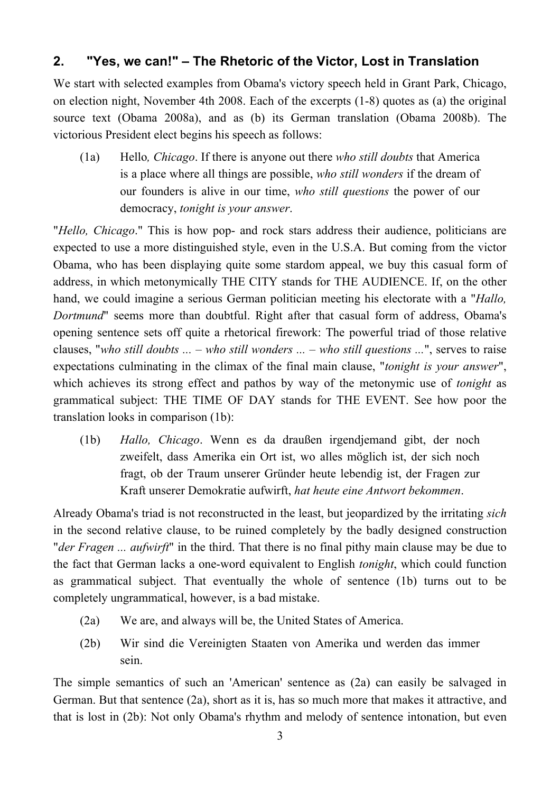# **2. "Yes, we can!" – The Rhetoric of the Victor, Lost in Translation**

We start with selected examples from Obama's victory speech held in Grant Park, Chicago, on election night, November 4th 2008. Each of the excerpts (1-8) quotes as (a) the original source text (Obama 2008a), and as (b) its German translation (Obama 2008b). The victorious President elect begins his speech as follows:

(1a) Hello*, Chicago*. If there is anyone out there *who still doubts* that America is a place where all things are possible, *who still wonders* if the dream of our founders is alive in our time, *who still questions* the power of our democracy, *tonight is your answer*.

"*Hello, Chicago*." This is how pop- and rock stars address their audience, politicians are expected to use a more distinguished style, even in the U.S.A. But coming from the victor Obama, who has been displaying quite some stardom appeal, we buy this casual form of address, in which metonymically THE CITY stands for THE AUDIENCE. If, on the other hand, we could imagine a serious German politician meeting his electorate with a "*Hallo, Dortmund*" seems more than doubtful. Right after that casual form of address, Obama's opening sentence sets off quite a rhetorical firework: The powerful triad of those relative clauses, "*who still doubts ... – who still wonders ... – who still questions ...*", serves to raise expectations culminating in the climax of the final main clause, "*tonight is your answer*", which achieves its strong effect and pathos by way of the metonymic use of *tonight* as grammatical subject: THE TIME OF DAY stands for THE EVENT. See how poor the translation looks in comparison (1b):

(1b) *Hallo, Chicago*. Wenn es da draußen irgendjemand gibt, der noch zweifelt, dass Amerika ein Ort ist, wo alles möglich ist, der sich noch fragt, ob der Traum unserer Gründer heute lebendig ist, der Fragen zur Kraft unserer Demokratie aufwirft, *hat heute eine Antwort bekommen*.

Already Obama's triad is not reconstructed in the least, but jeopardized by the irritating *sich* in the second relative clause, to be ruined completely by the badly designed construction "*der Fragen ... aufwirft*" in the third. That there is no final pithy main clause may be due to the fact that German lacks a one-word equivalent to English *tonight*, which could function as grammatical subject. That eventually the whole of sentence (1b) turns out to be completely ungrammatical, however, is a bad mistake.

- (2a) We are, and always will be, the United States of America.
- (2b) Wir sind die Vereinigten Staaten von Amerika und werden das immer sein.

The simple semantics of such an 'American' sentence as (2a) can easily be salvaged in German. But that sentence (2a), short as it is, has so much more that makes it attractive, and that is lost in (2b): Not only Obama's rhythm and melody of sentence intonation, but even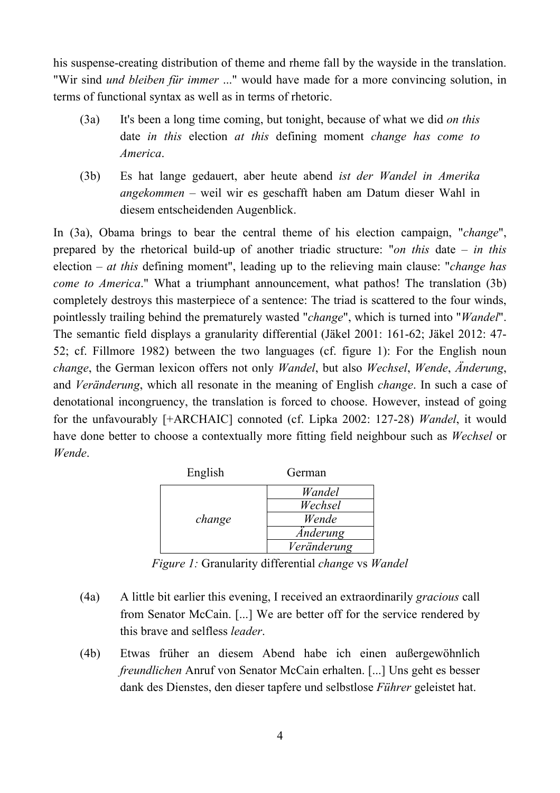his suspense-creating distribution of theme and rheme fall by the wayside in the translation. "Wir sind *und bleiben für immer* ..." would have made for a more convincing solution, in terms of functional syntax as well as in terms of rhetoric.

- (3a) It's been a long time coming, but tonight, because of what we did *on this* date *in this* election *at this* defining moment *change has come to America*.
- (3b) Es hat lange gedauert, aber heute abend *ist der Wandel in Amerika angekommen* – weil wir es geschafft haben am Datum dieser Wahl in diesem entscheidenden Augenblick.

In (3a), Obama brings to bear the central theme of his election campaign, "*change*", prepared by the rhetorical build-up of another triadic structure: "*on this* date – *in this* election – *at this* defining moment", leading up to the relieving main clause: "*change has come to America*." What a triumphant announcement, what pathos! The translation (3b) completely destroys this masterpiece of a sentence: The triad is scattered to the four winds, pointlessly trailing behind the prematurely wasted "*change*", which is turned into "*Wandel*". The semantic field displays a granularity differential (Jäkel 2001: 161-62; Jäkel 2012: 47- 52; cf. Fillmore 1982) between the two languages (cf. figure 1): For the English noun *change*, the German lexicon offers not only *Wandel*, but also *Wechsel*, *Wende*, *Änderung*, and *Veränderung*, which all resonate in the meaning of English *change*. In such a case of denotational incongruency, the translation is forced to choose. However, instead of going for the unfavourably [+ARCHAIC] connoted (cf. Lipka 2002: 127-28) *Wandel*, it would have done better to choose a contextually more fitting field neighbour such as *Wechsel* or *Wende*.

| English | German          |
|---------|-----------------|
| change  | Wandel          |
|         | Wechsel         |
|         | Wende           |
|         | <i>Anderung</i> |
|         | Veränderung     |

*Figure 1:* Granularity differential *change* vs *Wandel*

- (4a) A little bit earlier this evening, I received an extraordinarily *gracious* call from Senator McCain. [...] We are better off for the service rendered by this brave and selfless *leader*.
- (4b) Etwas früher an diesem Abend habe ich einen außergewöhnlich *freundlichen* Anruf von Senator McCain erhalten. [...] Uns geht es besser dank des Dienstes, den dieser tapfere und selbstlose *Führer* geleistet hat.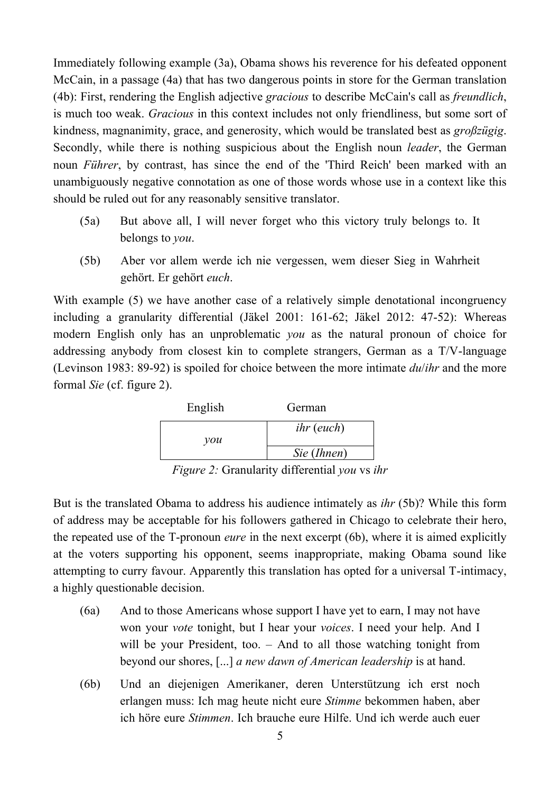Immediately following example (3a), Obama shows his reverence for his defeated opponent McCain, in a passage (4a) that has two dangerous points in store for the German translation (4b): First, rendering the English adjective *gracious* to describe McCain's call as *freundlich*, is much too weak. *Gracious* in this context includes not only friendliness, but some sort of kindness, magnanimity, grace, and generosity, which would be translated best as *großzügig*. Secondly, while there is nothing suspicious about the English noun *leader*, the German noun *Führer*, by contrast, has since the end of the 'Third Reich' been marked with an unambiguously negative connotation as one of those words whose use in a context like this should be ruled out for any reasonably sensitive translator.

- (5a) But above all, I will never forget who this victory truly belongs to. It belongs to *you*.
- (5b) Aber vor allem werde ich nie vergessen, wem dieser Sieg in Wahrheit gehört. Er gehört *euch*.

With example (5) we have another case of a relatively simple denotational incongruency including a granularity differential (Jäkel 2001: 161-62; Jäkel 2012: 47-52): Whereas modern English only has an unproblematic *you* as the natural pronoun of choice for addressing anybody from closest kin to complete strangers, German as a T/V-language (Levinson 1983: 89-92) is spoiled for choice between the more intimate *du*/*ihr* and the more formal *Sie* (cf. figure 2).



*Figure 2:* Granularity differential *you* vs *ihr*

But is the translated Obama to address his audience intimately as *ihr* (5b)? While this form of address may be acceptable for his followers gathered in Chicago to celebrate their hero, the repeated use of the T-pronoun *eure* in the next excerpt (6b), where it is aimed explicitly at the voters supporting his opponent, seems inappropriate, making Obama sound like attempting to curry favour. Apparently this translation has opted for a universal T-intimacy, a highly questionable decision.

- (6a) And to those Americans whose support I have yet to earn, I may not have won your *vote* tonight, but I hear your *voices*. I need your help. And I will be your President, too. – And to all those watching tonight from beyond our shores, [...] *a new dawn of American leadership* is at hand.
- (6b) Und an diejenigen Amerikaner, deren Unterstützung ich erst noch erlangen muss: Ich mag heute nicht eure *Stimme* bekommen haben, aber ich höre eure *Stimmen*. Ich brauche eure Hilfe. Und ich werde auch euer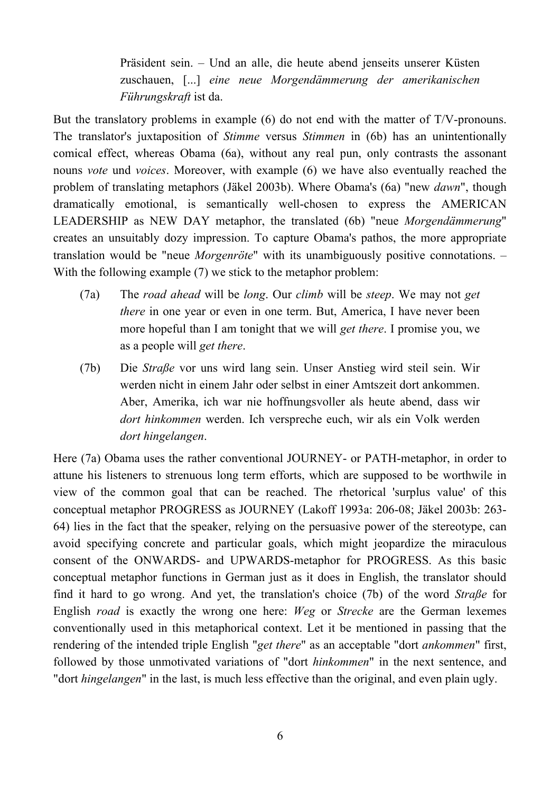Präsident sein. – Und an alle, die heute abend jenseits unserer Küsten zuschauen, [...] *eine neue Morgendämmerung der amerikanischen Führungskraft* ist da.

But the translatory problems in example (6) do not end with the matter of T/V-pronouns. The translator's juxtaposition of *Stimme* versus *Stimmen* in (6b) has an unintentionally comical effect, whereas Obama (6a), without any real pun, only contrasts the assonant nouns *vote* und *voices*. Moreover, with example (6) we have also eventually reached the problem of translating metaphors (Jäkel 2003b). Where Obama's (6a) "new *dawn*", though dramatically emotional, is semantically well-chosen to express the AMERICAN LEADERSHIP as NEW DAY metaphor, the translated (6b) "neue *Morgendämmerung*" creates an unsuitably dozy impression. To capture Obama's pathos, the more appropriate translation would be "neue *Morgenröte*" with its unambiguously positive connotations. – With the following example (7) we stick to the metaphor problem:

- (7a) The *road ahead* will be *long*. Our *climb* will be *steep*. We may not *get there* in one year or even in one term. But, America, I have never been more hopeful than I am tonight that we will *get there*. I promise you, we as a people will *get there*.
- (7b) Die *Straße* vor uns wird lang sein. Unser Anstieg wird steil sein. Wir werden nicht in einem Jahr oder selbst in einer Amtszeit dort ankommen. Aber, Amerika, ich war nie hoffnungsvoller als heute abend, dass wir *dort hinkommen* werden. Ich verspreche euch, wir als ein Volk werden *dort hingelangen*.

Here (7a) Obama uses the rather conventional JOURNEY- or PATH-metaphor, in order to attune his listeners to strenuous long term efforts, which are supposed to be worthwile in view of the common goal that can be reached. The rhetorical 'surplus value' of this conceptual metaphor PROGRESS as JOURNEY (Lakoff 1993a: 206-08; Jäkel 2003b: 263- 64) lies in the fact that the speaker, relying on the persuasive power of the stereotype, can avoid specifying concrete and particular goals, which might jeopardize the miraculous consent of the ONWARDS- and UPWARDS-metaphor for PROGRESS. As this basic conceptual metaphor functions in German just as it does in English, the translator should find it hard to go wrong. And yet, the translation's choice (7b) of the word *Straße* for English *road* is exactly the wrong one here: *Weg* or *Strecke* are the German lexemes conventionally used in this metaphorical context. Let it be mentioned in passing that the rendering of the intended triple English "*get there*" as an acceptable "dort *ankommen*" first, followed by those unmotivated variations of "dort *hinkommen*" in the next sentence, and "dort *hingelangen*" in the last, is much less effective than the original, and even plain ugly.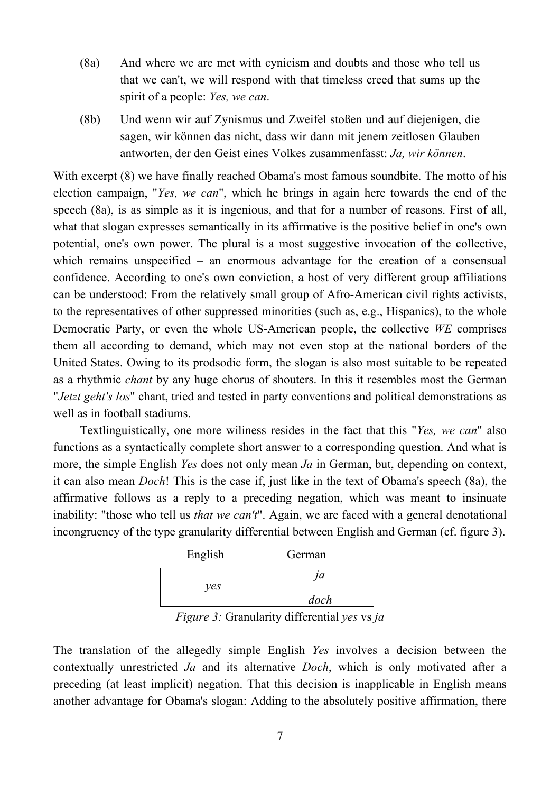- (8a) And where we are met with cynicism and doubts and those who tell us that we can't, we will respond with that timeless creed that sums up the spirit of a people: *Yes, we can*.
- (8b) Und wenn wir auf Zynismus und Zweifel stoßen und auf diejenigen, die sagen, wir können das nicht, dass wir dann mit jenem zeitlosen Glauben antworten, der den Geist eines Volkes zusammenfasst: *Ja, wir können*.

With excerpt (8) we have finally reached Obama's most famous soundbite. The motto of his election campaign, "*Yes, we can*", which he brings in again here towards the end of the speech (8a), is as simple as it is ingenious, and that for a number of reasons. First of all, what that slogan expresses semantically in its affirmative is the positive belief in one's own potential, one's own power. The plural is a most suggestive invocation of the collective, which remains unspecified – an enormous advantage for the creation of a consensual confidence. According to one's own conviction, a host of very different group affiliations can be understood: From the relatively small group of Afro-American civil rights activists, to the representatives of other suppressed minorities (such as, e.g., Hispanics), to the whole Democratic Party, or even the whole US-American people, the collective *WE* comprises them all according to demand, which may not even stop at the national borders of the United States. Owing to its prodsodic form, the slogan is also most suitable to be repeated as a rhythmic *chant* by any huge chorus of shouters. In this it resembles most the German "*Jetzt geht's los*" chant, tried and tested in party conventions and political demonstrations as well as in football stadiums.

Textlinguistically, one more wiliness resides in the fact that this "*Yes, we can*" also functions as a syntactically complete short answer to a corresponding question. And what is more, the simple English *Yes* does not only mean *Ja* in German, but, depending on context, it can also mean *Doch*! This is the case if, just like in the text of Obama's speech (8a), the affirmative follows as a reply to a preceding negation, which was meant to insinuate inability: "those who tell us *that we can't*". Again, we are faced with a general denotational incongruency of the type granularity differential between English and German (cf. figure 3).

| English | German |
|---------|--------|
| ves     | ıa     |
|         | doch   |

*Figure 3:* Granularity differential *yes* vs *ja*

The translation of the allegedly simple English *Yes* involves a decision between the contextually unrestricted *Ja* and its alternative *Doch*, which is only motivated after a preceding (at least implicit) negation. That this decision is inapplicable in English means another advantage for Obama's slogan: Adding to the absolutely positive affirmation, there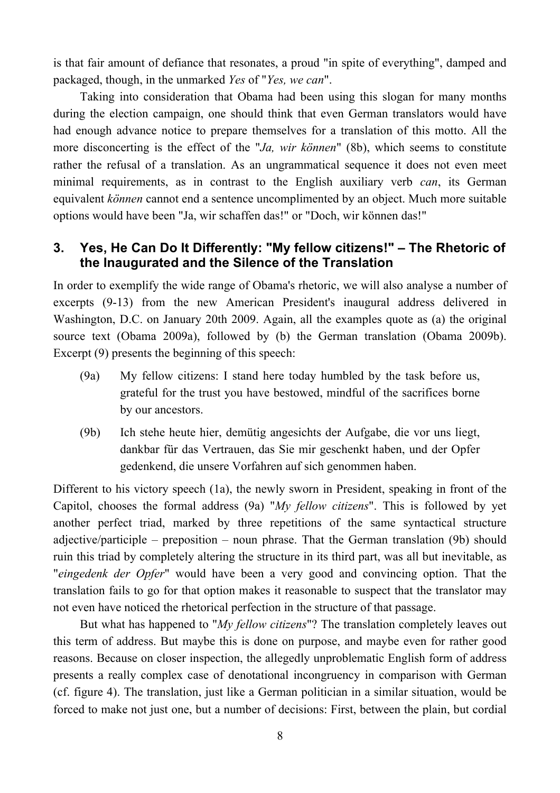is that fair amount of defiance that resonates, a proud "in spite of everything", damped and packaged, though, in the unmarked *Yes* of "*Yes, we can*".

Taking into consideration that Obama had been using this slogan for many months during the election campaign, one should think that even German translators would have had enough advance notice to prepare themselves for a translation of this motto. All the more disconcerting is the effect of the "*Ja, wir können*" (8b), which seems to constitute rather the refusal of a translation. As an ungrammatical sequence it does not even meet minimal requirements, as in contrast to the English auxiliary verb *can*, its German equivalent *können* cannot end a sentence uncomplimented by an object. Much more suitable options would have been "Ja, wir schaffen das!" or "Doch, wir können das!"

#### **3. Yes, He Can Do It Differently: "My fellow citizens!" – The Rhetoric of the Inaugurated and the Silence of the Translation**

In order to exemplify the wide range of Obama's rhetoric, we will also analyse a number of excerpts (9-13) from the new American President's inaugural address delivered in Washington, D.C. on January 20th 2009. Again, all the examples quote as (a) the original source text (Obama 2009a), followed by (b) the German translation (Obama 2009b). Excerpt (9) presents the beginning of this speech:

- (9a) My fellow citizens: I stand here today humbled by the task before us, grateful for the trust you have bestowed, mindful of the sacrifices borne by our ancestors.
- (9b) Ich stehe heute hier, demütig angesichts der Aufgabe, die vor uns liegt, dankbar für das Vertrauen, das Sie mir geschenkt haben, und der Opfer gedenkend, die unsere Vorfahren auf sich genommen haben.

Different to his victory speech (1a), the newly sworn in President, speaking in front of the Capitol, chooses the formal address (9a) "*My fellow citizens*". This is followed by yet another perfect triad, marked by three repetitions of the same syntactical structure adjective/participle – preposition – noun phrase. That the German translation (9b) should ruin this triad by completely altering the structure in its third part, was all but inevitable, as "*eingedenk der Opfer*" would have been a very good and convincing option. That the translation fails to go for that option makes it reasonable to suspect that the translator may not even have noticed the rhetorical perfection in the structure of that passage.

But what has happened to "*My fellow citizens*"? The translation completely leaves out this term of address. But maybe this is done on purpose, and maybe even for rather good reasons. Because on closer inspection, the allegedly unproblematic English form of address presents a really complex case of denotational incongruency in comparison with German (cf. figure 4). The translation, just like a German politician in a similar situation, would be forced to make not just one, but a number of decisions: First, between the plain, but cordial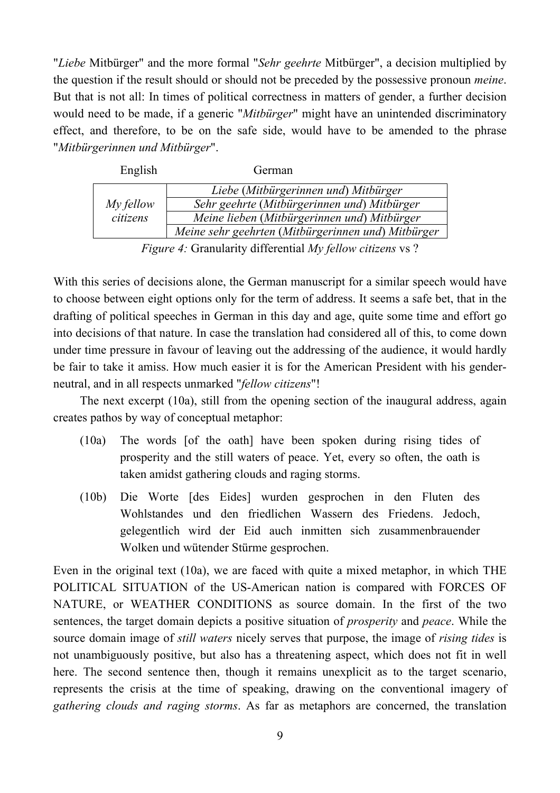"*Liebe* Mitbürger" and the more formal "*Sehr geehrte* Mitbürger", a decision multiplied by the question if the result should or should not be preceded by the possessive pronoun *meine*. But that is not all: In times of political correctness in matters of gender, a further decision would need to be made, if a generic "*Mitbürger*" might have an unintended discriminatory effect, and therefore, to be on the safe side, would have to be amended to the phrase "*Mitbürgerinnen und Mitbürger*".

| English               | German                                             |
|-----------------------|----------------------------------------------------|
|                       | Liebe (Mitbürgerinnen und) Mitbürger               |
| My fellow<br>citizens | Sehr geehrte (Mitbürgerinnen und) Mitbürger        |
|                       | Meine lieben (Mitbürgerinnen und) Mitbürger        |
|                       | Meine sehr geehrten (Mitbürgerinnen und) Mitbürger |

*Figure 4:* Granularity differential *My fellow citizens* vs ?

With this series of decisions alone, the German manuscript for a similar speech would have to choose between eight options only for the term of address. It seems a safe bet, that in the drafting of political speeches in German in this day and age, quite some time and effort go into decisions of that nature. In case the translation had considered all of this, to come down under time pressure in favour of leaving out the addressing of the audience, it would hardly be fair to take it amiss. How much easier it is for the American President with his genderneutral, and in all respects unmarked "*fellow citizens*"!

The next excerpt (10a), still from the opening section of the inaugural address, again creates pathos by way of conceptual metaphor:

- (10a) The words [of the oath] have been spoken during rising tides of prosperity and the still waters of peace. Yet, every so often, the oath is taken amidst gathering clouds and raging storms.
- (10b) Die Worte [des Eides] wurden gesprochen in den Fluten des Wohlstandes und den friedlichen Wassern des Friedens. Jedoch, gelegentlich wird der Eid auch inmitten sich zusammenbrauender Wolken und wütender Stürme gesprochen.

Even in the original text (10a), we are faced with quite a mixed metaphor, in which THE POLITICAL SITUATION of the US-American nation is compared with FORCES OF NATURE, or WEATHER CONDITIONS as source domain. In the first of the two sentences, the target domain depicts a positive situation of *prosperity* and *peace*. While the source domain image of *still waters* nicely serves that purpose, the image of *rising tides* is not unambiguously positive, but also has a threatening aspect, which does not fit in well here. The second sentence then, though it remains unexplicit as to the target scenario, represents the crisis at the time of speaking, drawing on the conventional imagery of *gathering clouds and raging storms*. As far as metaphors are concerned, the translation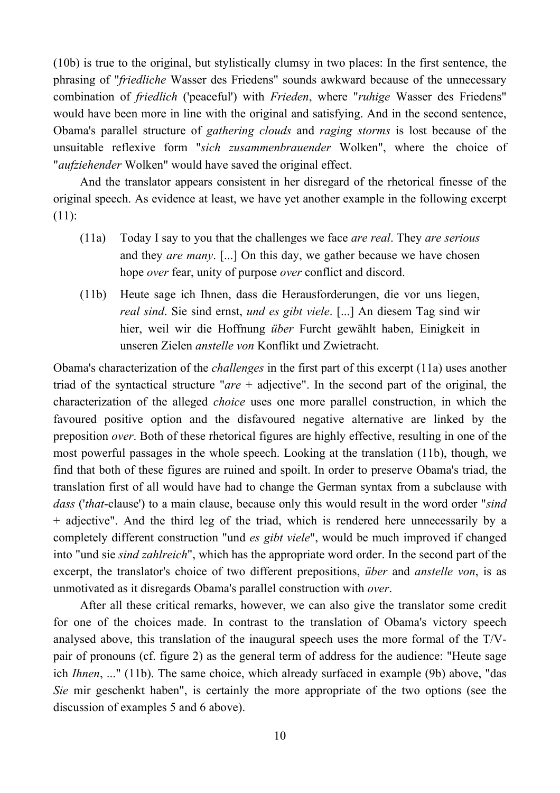(10b) is true to the original, but stylistically clumsy in two places: In the first sentence, the phrasing of "*friedliche* Wasser des Friedens" sounds awkward because of the unnecessary combination of *friedlich* ('peaceful') with *Frieden*, where "*ruhige* Wasser des Friedens" would have been more in line with the original and satisfying. And in the second sentence, Obama's parallel structure of *gathering clouds* and *raging storms* is lost because of the unsuitable reflexive form "*sich zusammenbrauender* Wolken", where the choice of "*aufziehender* Wolken" would have saved the original effect.

And the translator appears consistent in her disregard of the rhetorical finesse of the original speech. As evidence at least, we have yet another example in the following excerpt (11):

- (11a) Today I say to you that the challenges we face *are real*. They *are serious* and they *are many*. [...] On this day, we gather because we have chosen hope *over* fear, unity of purpose *over* conflict and discord.
- (11b) Heute sage ich Ihnen, dass die Herausforderungen, die vor uns liegen, *real sind*. Sie sind ernst, *und es gibt viele*. [...] An diesem Tag sind wir hier, weil wir die Hoffnung *über* Furcht gewählt haben, Einigkeit in unseren Zielen *anstelle von* Konflikt und Zwietracht.

Obama's characterization of the *challenges* in the first part of this excerpt (11a) uses another triad of the syntactical structure "*are* + adjective". In the second part of the original, the characterization of the alleged *choice* uses one more parallel construction, in which the favoured positive option and the disfavoured negative alternative are linked by the preposition *over*. Both of these rhetorical figures are highly effective, resulting in one of the most powerful passages in the whole speech. Looking at the translation (11b), though, we find that both of these figures are ruined and spoilt. In order to preserve Obama's triad, the translation first of all would have had to change the German syntax from a subclause with *dass* ('*that*-clause') to a main clause, because only this would result in the word order "*sind* + adjective". And the third leg of the triad, which is rendered here unnecessarily by a completely different construction "und *es gibt viele*", would be much improved if changed into "und sie *sind zahlreich*", which has the appropriate word order. In the second part of the excerpt, the translator's choice of two different prepositions, *über* and *anstelle von*, is as unmotivated as it disregards Obama's parallel construction with *over*.

After all these critical remarks, however, we can also give the translator some credit for one of the choices made. In contrast to the translation of Obama's victory speech analysed above, this translation of the inaugural speech uses the more formal of the T/Vpair of pronouns (cf. figure 2) as the general term of address for the audience: "Heute sage ich *Ihnen*, ..." (11b). The same choice, which already surfaced in example (9b) above, "das *Sie* mir geschenkt haben", is certainly the more appropriate of the two options (see the discussion of examples 5 and 6 above).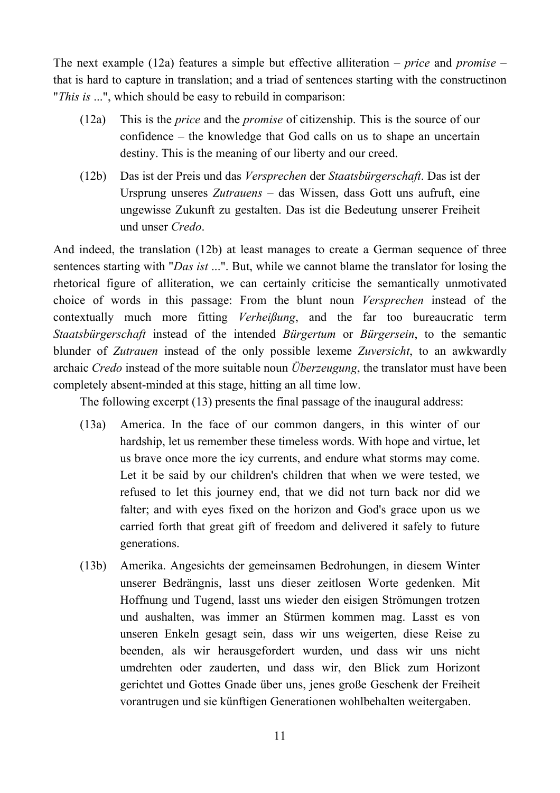The next example (12a) features a simple but effective alliteration – *price* and *promise* – that is hard to capture in translation; and a triad of sentences starting with the constructinon "*This is* ...", which should be easy to rebuild in comparison:

- (12a) This is the *price* and the *promise* of citizenship. This is the source of our confidence – the knowledge that God calls on us to shape an uncertain destiny. This is the meaning of our liberty and our creed.
- (12b) Das ist der Preis und das *Versprechen* der *Staatsbürgerschaft*. Das ist der Ursprung unseres *Zutrauens* – das Wissen, dass Gott uns aufruft, eine ungewisse Zukunft zu gestalten. Das ist die Bedeutung unserer Freiheit und unser *Credo*.

And indeed, the translation (12b) at least manages to create a German sequence of three sentences starting with "*Das ist* ...". But, while we cannot blame the translator for losing the rhetorical figure of alliteration, we can certainly criticise the semantically unmotivated choice of words in this passage: From the blunt noun *Versprechen* instead of the contextually much more fitting *Verheißung*, and the far too bureaucratic term *Staatsbürgerschaft* instead of the intended *Bürgertum* or *Bürgersein*, to the semantic blunder of *Zutrauen* instead of the only possible lexeme *Zuversicht*, to an awkwardly archaic *Credo* instead of the more suitable noun *Überzeugung*, the translator must have been completely absent-minded at this stage, hitting an all time low.

The following excerpt (13) presents the final passage of the inaugural address:

- (13a) America. In the face of our common dangers, in this winter of our hardship, let us remember these timeless words. With hope and virtue, let us brave once more the icy currents, and endure what storms may come. Let it be said by our children's children that when we were tested, we refused to let this journey end, that we did not turn back nor did we falter; and with eyes fixed on the horizon and God's grace upon us we carried forth that great gift of freedom and delivered it safely to future generations.
- (13b) Amerika. Angesichts der gemeinsamen Bedrohungen, in diesem Winter unserer Bedrängnis, lasst uns dieser zeitlosen Worte gedenken. Mit Hoffnung und Tugend, lasst uns wieder den eisigen Strömungen trotzen und aushalten, was immer an Stürmen kommen mag. Lasst es von unseren Enkeln gesagt sein, dass wir uns weigerten, diese Reise zu beenden, als wir herausgefordert wurden, und dass wir uns nicht umdrehten oder zauderten, und dass wir, den Blick zum Horizont gerichtet und Gottes Gnade über uns, jenes große Geschenk der Freiheit vorantrugen und sie künftigen Generationen wohlbehalten weitergaben.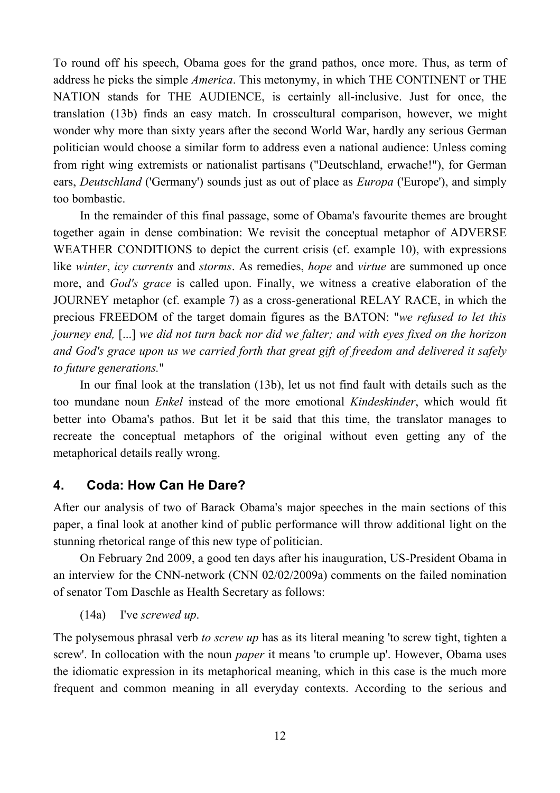To round off his speech, Obama goes for the grand pathos, once more. Thus, as term of address he picks the simple *America*. This metonymy, in which THE CONTINENT or THE NATION stands for THE AUDIENCE, is certainly all-inclusive. Just for once, the translation (13b) finds an easy match. In crosscultural comparison, however, we might wonder why more than sixty years after the second World War, hardly any serious German politician would choose a similar form to address even a national audience: Unless coming from right wing extremists or nationalist partisans ("Deutschland, erwache!"), for German ears, *Deutschland* ('Germany') sounds just as out of place as *Europa* ('Europe'), and simply too bombastic.

In the remainder of this final passage, some of Obama's favourite themes are brought together again in dense combination: We revisit the conceptual metaphor of ADVERSE WEATHER CONDITIONS to depict the current crisis (cf. example 10), with expressions like *winter*, *icy currents* and *storms*. As remedies, *hope* and *virtue* are summoned up once more, and *God's grace* is called upon. Finally, we witness a creative elaboration of the JOURNEY metaphor (cf. example 7) as a cross-generational RELAY RACE, in which the precious FREEDOM of the target domain figures as the BATON: "*we refused to let this journey end,* [...] *we did not turn back nor did we falter; and with eyes fixed on the horizon and God's grace upon us we carried forth that great gift of freedom and delivered it safely to future generations.*"

In our final look at the translation (13b), let us not find fault with details such as the too mundane noun *Enkel* instead of the more emotional *Kindeskinder*, which would fit better into Obama's pathos. But let it be said that this time, the translator manages to recreate the conceptual metaphors of the original without even getting any of the metaphorical details really wrong.

#### **4. Coda: How Can He Dare?**

After our analysis of two of Barack Obama's major speeches in the main sections of this paper, a final look at another kind of public performance will throw additional light on the stunning rhetorical range of this new type of politician.

On February 2nd 2009, a good ten days after his inauguration, US-President Obama in an interview for the CNN-network (CNN 02/02/2009a) comments on the failed nomination of senator Tom Daschle as Health Secretary as follows:

(14a) I've *screwed up*.

The polysemous phrasal verb *to screw up* has as its literal meaning 'to screw tight, tighten a screw'. In collocation with the noun *paper* it means 'to crumple up'. However, Obama uses the idiomatic expression in its metaphorical meaning, which in this case is the much more frequent and common meaning in all everyday contexts. According to the serious and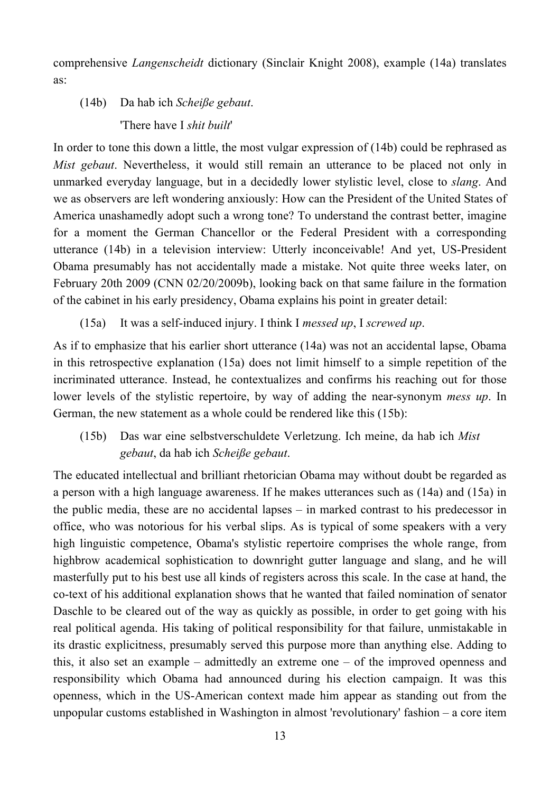comprehensive *Langenscheidt* dictionary (Sinclair Knight 2008), example (14a) translates as:

#### (14b) Da hab ich *Scheiße gebaut*.

'There have I *shit built*'

In order to tone this down a little, the most vulgar expression of (14b) could be rephrased as *Mist gebaut*. Nevertheless, it would still remain an utterance to be placed not only in unmarked everyday language, but in a decidedly lower stylistic level, close to *slang*. And we as observers are left wondering anxiously: How can the President of the United States of America unashamedly adopt such a wrong tone? To understand the contrast better, imagine for a moment the German Chancellor or the Federal President with a corresponding utterance (14b) in a television interview: Utterly inconceivable! And yet, US-President Obama presumably has not accidentally made a mistake. Not quite three weeks later, on February 20th 2009 (CNN 02/20/2009b), looking back on that same failure in the formation of the cabinet in his early presidency, Obama explains his point in greater detail:

#### (15a) It was a self-induced injury. I think I *messed up*, I *screwed up*.

As if to emphasize that his earlier short utterance (14a) was not an accidental lapse, Obama in this retrospective explanation (15a) does not limit himself to a simple repetition of the incriminated utterance. Instead, he contextualizes and confirms his reaching out for those lower levels of the stylistic repertoire, by way of adding the near-synonym *mess up*. In German, the new statement as a whole could be rendered like this (15b):

(15b) Das war eine selbstverschuldete Verletzung. Ich meine, da hab ich *Mist gebaut*, da hab ich *Scheiße gebaut*.

The educated intellectual and brilliant rhetorician Obama may without doubt be regarded as a person with a high language awareness. If he makes utterances such as (14a) and (15a) in the public media, these are no accidental lapses – in marked contrast to his predecessor in office, who was notorious for his verbal slips. As is typical of some speakers with a very high linguistic competence, Obama's stylistic repertoire comprises the whole range, from highbrow academical sophistication to downright gutter language and slang, and he will masterfully put to his best use all kinds of registers across this scale. In the case at hand, the co-text of his additional explanation shows that he wanted that failed nomination of senator Daschle to be cleared out of the way as quickly as possible, in order to get going with his real political agenda. His taking of political responsibility for that failure, unmistakable in its drastic explicitness, presumably served this purpose more than anything else. Adding to this, it also set an example – admittedly an extreme one – of the improved openness and responsibility which Obama had announced during his election campaign. It was this openness, which in the US-American context made him appear as standing out from the unpopular customs established in Washington in almost 'revolutionary' fashion – a core item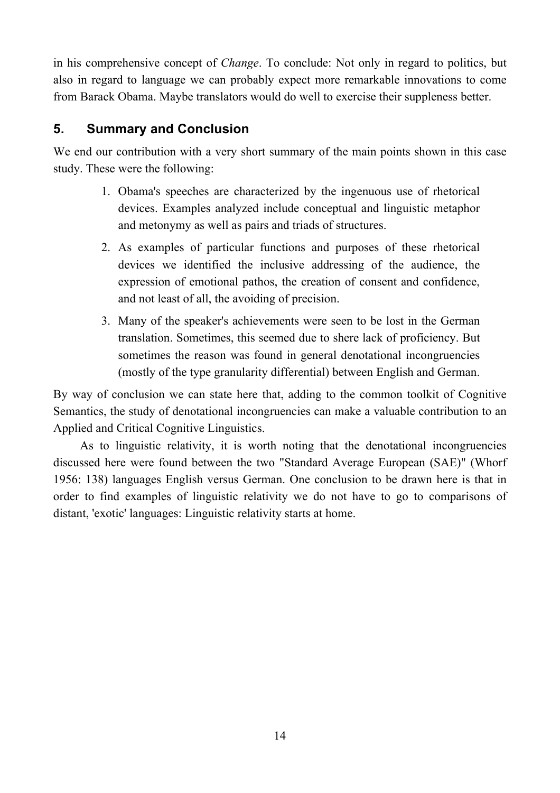in his comprehensive concept of *Change*. To conclude: Not only in regard to politics, but also in regard to language we can probably expect more remarkable innovations to come from Barack Obama. Maybe translators would do well to exercise their suppleness better.

## **5. Summary and Conclusion**

We end our contribution with a very short summary of the main points shown in this case study. These were the following:

- 1. Obama's speeches are characterized by the ingenuous use of rhetorical devices. Examples analyzed include conceptual and linguistic metaphor and metonymy as well as pairs and triads of structures.
- 2. As examples of particular functions and purposes of these rhetorical devices we identified the inclusive addressing of the audience, the expression of emotional pathos, the creation of consent and confidence, and not least of all, the avoiding of precision.
- 3. Many of the speaker's achievements were seen to be lost in the German translation. Sometimes, this seemed due to shere lack of proficiency. But sometimes the reason was found in general denotational incongruencies (mostly of the type granularity differential) between English and German.

By way of conclusion we can state here that, adding to the common toolkit of Cognitive Semantics, the study of denotational incongruencies can make a valuable contribution to an Applied and Critical Cognitive Linguistics.

As to linguistic relativity, it is worth noting that the denotational incongruencies discussed here were found between the two "Standard Average European (SAE)" (Whorf 1956: 138) languages English versus German. One conclusion to be drawn here is that in order to find examples of linguistic relativity we do not have to go to comparisons of distant, 'exotic' languages: Linguistic relativity starts at home.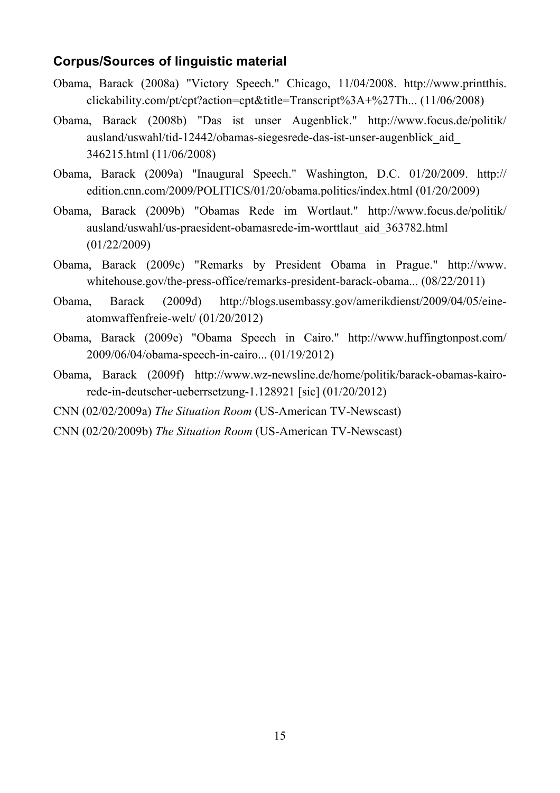### **Corpus/Sources of linguistic material**

- Obama, Barack (2008a) "Victory Speech." Chicago, 11/04/2008. http://www.printthis. clickability.com/pt/cpt?action=cpt&title=Transcript%3A+%27Th... (11/06/2008)
- Obama, Barack (2008b) "Das ist unser Augenblick." http://www.focus.de/politik/ ausland/uswahl/tid-12442/obamas-siegesrede-das-ist-unser-augenblick\_aid\_ 346215.html (11/06/2008)
- Obama, Barack (2009a) "Inaugural Speech." Washington, D.C. 01/20/2009. http:// edition.cnn.com/2009/POLITICS/01/20/obama.politics/index.html (01/20/2009)
- Obama, Barack (2009b) "Obamas Rede im Wortlaut." http://www.focus.de/politik/ ausland/uswahl/us-praesident-obamasrede-im-worttlaut\_aid\_363782.html (01/22/2009)
- Obama, Barack (2009c) "Remarks by President Obama in Prague." http://www. whitehouse.gov/the-press-office/remarks-president-barack-obama... (08/22/2011)
- Obama, Barack (2009d) http://blogs.usembassy.gov/amerikdienst/2009/04/05/eineatomwaffenfreie-welt/ (01/20/2012)
- Obama, Barack (2009e) "Obama Speech in Cairo." http://www.huffingtonpost.com/ 2009/06/04/obama-speech-in-cairo... (01/19/2012)
- Obama, Barack (2009f) http://www.wz-newsline.de/home/politik/barack-obamas-kairorede-in-deutscher-ueberrsetzung-1.128921 [sic] (01/20/2012)
- CNN (02/02/2009a) *The Situation Room* (US-American TV-Newscast)
- CNN (02/20/2009b) *The Situation Room* (US-American TV-Newscast)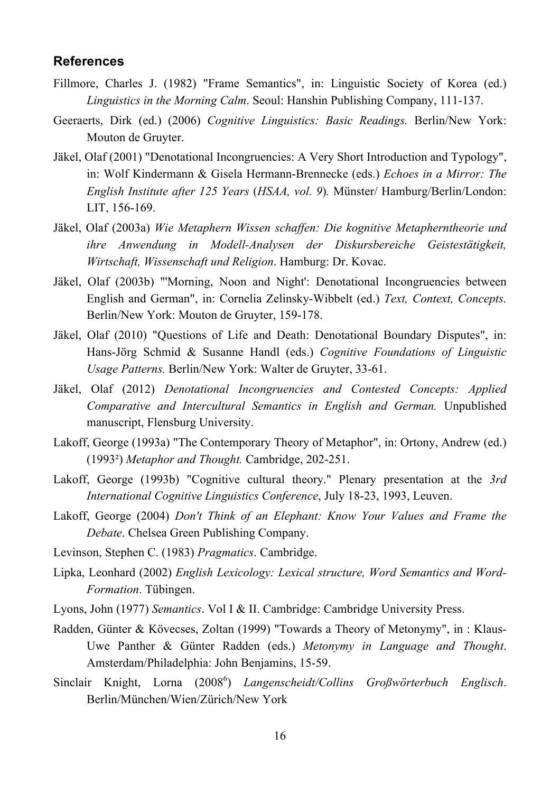#### **References**

- Fillmore, Charles J. (1982) "Frame Semantics", in: Linguistic Society of Korea (ed.) *Linguistics in the Morning Calm*. Seoul: Hanshin Publishing Company, 111-137.
- Geeraerts, Dirk (ed.) (2006) *Cognitive Linguistics: Basic Readings.* Berlin/New York: Mouton de Gruyter.
- Jäkel, Olaf (2001) "Denotational Incongruencies: A Very Short Introduction and Typology", in: Wolf Kindermann & Gisela Hermann-Brennecke (eds.) *Echoes in a Mirror: The English Institute after 125 Years* (*HSAA, vol. 9*)*.* Münster/ Hamburg/Berlin/London: LIT, 156-169.
- Jäkel, Olaf (2003a) *Wie Metaphern Wissen schaffen: Die kognitive Metapherntheorie und ihre Anwendung in Modell-Analysen der Diskursbereiche Geistestätigkeit, Wirtschaft, Wissenschaft und Religion*. Hamburg: Dr. Kovac.
- Jäkel, Olaf (2003b) "'Morning, Noon and Night': Denotational Incongruencies between English and German", in: Cornelia Zelinsky-Wibbelt (ed.) *Text, Context, Concepts.* Berlin/New York: Mouton de Gruyter, 159-178.
- Jäkel, Olaf (2010) "Questions of Life and Death: Denotational Boundary Disputes", in: Hans-Jörg Schmid & Susanne Handl (eds.) *Cognitive Foundations of Linguistic Usage Patterns.* Berlin/New York: Walter de Gruyter, 33-61.
- Jäkel, Olaf (2012) *Denotational Incongruencies and Contested Concepts: Applied Comparative and Intercultural Semantics in English and German.* Unpublished manuscript, Flensburg University.
- Lakoff, George (1993a) "The Contemporary Theory of Metaphor", in: Ortony, Andrew (ed.) (1993²) *Metaphor and Thought.* Cambridge, 202-251.
- Lakoff, George (1993b) "Cognitive cultural theory." Plenary presentation at the *3rd International Cognitive Linguistics Conference*, July 18-23, 1993, Leuven.
- Lakoff, George (2004) *Don't Think of an Elephant: Know Your Values and Frame the Debate*. Chelsea Green Publishing Company.
- Levinson, Stephen C. (1983) *Pragmatics*. Cambridge.
- Lipka, Leonhard (2002) *English Lexicology: Lexical structure, Word Semantics and Word-Formation*. Tübingen.
- Lyons, John (1977) *Semantics*. Vol I & II. Cambridge: Cambridge University Press.
- Radden, Günter & Kövecses, Zoltan (1999) "Towards a Theory of Metonymy", in : Klaus-Uwe Panther & Günter Radden (eds.) *Metonymy in Language and Thought*. Amsterdam/Philadelphia: John Benjamins, 15-59.
- Sinclair Knight, Lorna (2008<sup>6</sup>) *Langenscheidt/Collins Großwörterbuch Englisch*. Berlin/München/Wien/Zürich/New York